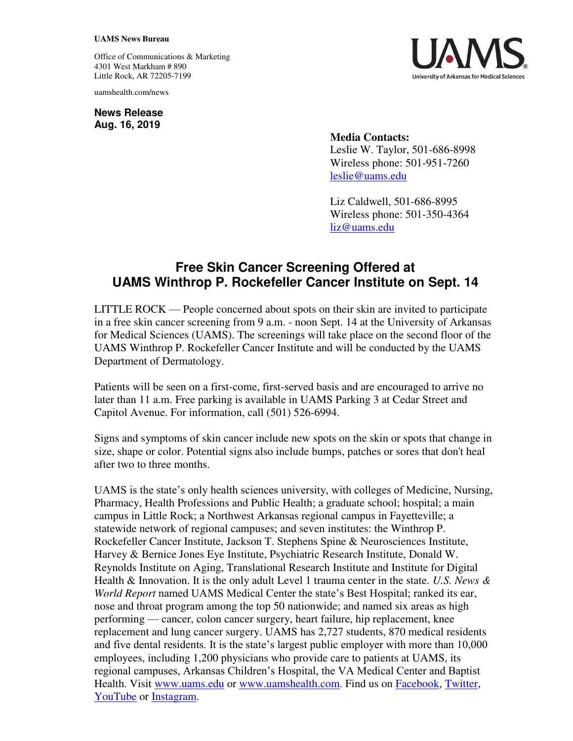## **UAMS News Bureau**

Office of Communications & Marketing 4301 West Markham # 890 Little Rock, AR 72205-7199

uamshealth.com/news

**News Release Aug. 16, 2019**



**Media Contacts:**  Leslie W. Taylor, 501-686-8998 Wireless phone: 501-951-7260 [leslie@uams.edu](mailto:leslie@uams.edu)

Liz Caldwell, 501-686-8995 Wireless phone: 501-350-4364 [liz@uams.edu](mailto:liz@uams.edu)

## **Free Skin Cancer Screening Offered at UAMS Winthrop P. Rockefeller Cancer Institute on Sept. 14**

LITTLE ROCK — People concerned about spots on their skin are invited to participate in a free skin cancer screening from 9 a.m. - noon Sept. 14 at the University of Arkansas for Medical Sciences (UAMS). The screenings will take place on the second floor of the UAMS Winthrop P. Rockefeller Cancer Institute and will be conducted by the UAMS Department of Dermatology.

Patients will be seen on a first-come, first-served basis and are encouraged to arrive no later than 11 a.m. Free parking is available in UAMS Parking 3 at Cedar Street and Capitol Avenue. For information, call (501) 526-6994.

Signs and symptoms of skin cancer include new spots on the skin or spots that change in size, shape or color. Potential signs also include bumps, patches or sores that don't heal after two to three months.

UAMS is the state's only health sciences university, with colleges of Medicine, Nursing, Pharmacy, Health Professions and Public Health; a graduate school; hospital; a main campus in Little Rock; a Northwest Arkansas regional campus in Fayetteville; a statewide network of regional campuses; and seven institutes: the Winthrop P. Rockefeller Cancer Institute, Jackson T. Stephens Spine & Neurosciences Institute, Harvey & Bernice Jones Eye Institute, Psychiatric Research Institute, Donald W. Reynolds Institute on Aging, Translational Research Institute and Institute for Digital Health & Innovation. It is the only adult Level 1 trauma center in the state. *U.S. News & World Report* named UAMS Medical Center the state's Best Hospital; ranked its ear, nose and throat program among the top 50 nationwide; and named six areas as high performing — cancer, colon cancer surgery, heart failure, hip replacement, knee replacement and lung cancer surgery. UAMS has 2,727 students, 870 medical residents and five dental residents. It is the state's largest public employer with more than 10,000 employees, including 1,200 physicians who provide care to patients at UAMS, its regional campuses, Arkansas Children's Hospital, the VA Medical Center and Baptist Health. Visit [www.uams.edu](http://www.uams.edu/) or [www.uamshealth.com.](http://www.uamshealth.com/) Find us on [Facebook,](https://www.facebook.com/UAMShealth) [Twitter,](https://twitter.com/uamshealth) [YouTube](https://www.youtube.com/user/UAMSHealth) or [Instagram.](https://instagram.com/uamshealth/)